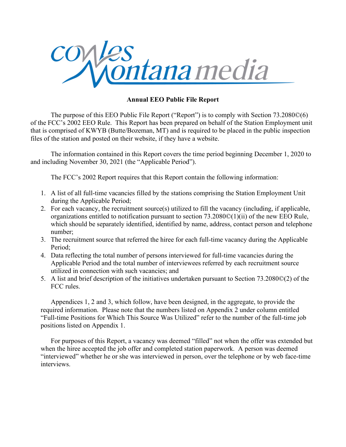

The purpose of this EEO Public File Report ("Report") is to comply with Section 73.2080©(6) of the FCC's 2002 EEO Rule. This Report has been prepared on behalf of the Station Employment unit that is comprised of KWYB (Butte/Bozeman, MT) and is required to be placed in the public inspection files of the station and posted on their website, if they have a website.

The information contained in this Report covers the time period beginning December 1, 2020 to and including November 30, 2021 (the "Applicable Period").

The FCC's 2002 Report requires that this Report contain the following information:

- 1. A list of all full-time vacancies filled by the stations comprising the Station Employment Unit during the Applicable Period;
- 2. For each vacancy, the recruitment source(s) utilized to fill the vacancy (including, if applicable, organizations entitled to notification pursuant to section 73.2080©(1)(ii) of the new EEO Rule, which should be separately identified, identified by name, address, contact person and telephone number;
- 3. The recruitment source that referred the hiree for each full-time vacancy during the Applicable Period;
- 4. Data reflecting the total number of persons interviewed for full-time vacancies during the Applicable Period and the total number of interviewees referred by each recruitment source utilized in connection with such vacancies; and
- 5. A list and brief description of the initiatives undertaken pursuant to Section 73.2080©(2) of the FCC rules.

Appendices 1, 2 and 3, which follow, have been designed, in the aggregate, to provide the required information. Please note that the numbers listed on Appendix 2 under column entitled "Full-time Positions for Which This Source Was Utilized" refer to the number of the full-time job positions listed on Appendix 1.

For purposes of this Report, a vacancy was deemed "filled" not when the offer was extended but when the hiree accepted the job offer and completed station paperwork. A person was deemed "interviewed" whether he or she was interviewed in person, over the telephone or by web face-time interviews.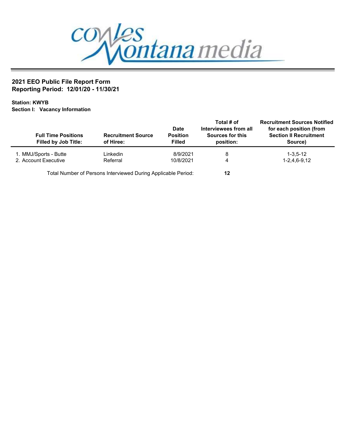

## 2021 EEO Public File Report Form Reporting Period: 12/01/20 - 11/30/21

Station: KWYB Section I: Vacancy Information

| <b>Full Time Positions</b><br><b>Filled by Job Title:</b> | <b>Recruitment Source</b><br>of Hiree:                        | Date<br><b>Position</b><br><b>Filled</b> | Total # of<br>Interviewees from all<br>Sources for this<br>position: | <b>Recruitment Sources Notified</b><br>for each position (from<br><b>Section II Recruitment</b><br>Source) |
|-----------------------------------------------------------|---------------------------------------------------------------|------------------------------------------|----------------------------------------------------------------------|------------------------------------------------------------------------------------------------------------|
| 1. MMJ/Sports - Butte                                     | Linkedin                                                      | 8/9/2021                                 | 8                                                                    | $1 - 3.5 - 12$                                                                                             |
| 2. Account Executive                                      | Referral                                                      | 10/8/2021                                | 4                                                                    | 1-2.4.6-9.12                                                                                               |
|                                                           | Total Number of Persons Interviewed During Applicable Period: |                                          | 12                                                                   |                                                                                                            |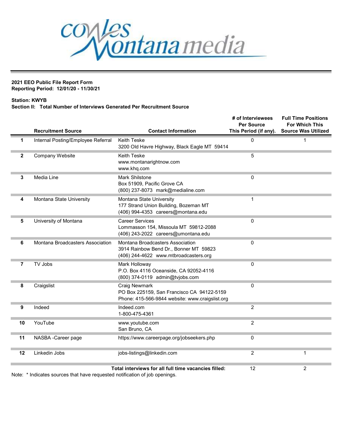

#### 2021 EEO Public File Report Form Reporting Period: 12/01/20 - 11/30/21

### Station: KWYB

### Section II: Total Number of Interviews Generated Per Recruitment Source

|                | <b>Recruitment Source</b>          | <b>Contact Information</b>                                                                                          | # of Interviewees<br><b>Per Source</b><br>This Period (if any). | <b>Full Time Positions</b><br><b>For Which This</b><br><b>Source Was Utilized</b> |
|----------------|------------------------------------|---------------------------------------------------------------------------------------------------------------------|-----------------------------------------------------------------|-----------------------------------------------------------------------------------|
| 1              | Internal Posting/Employee Referral | <b>Keith Teske</b><br>3200 Old Havre Highway, Black Eagle MT 59414                                                  | 0                                                               | 1                                                                                 |
| $\mathbf{2}$   | Company Website                    | Keith Teske<br>www.montanarightnow.com<br>www.khq.com                                                               | 5                                                               |                                                                                   |
| 3              | Media Line                         | <b>Mark Shilstone</b><br>Box 51909, Pacific Grove CA<br>(800) 237-8073 mark@medialine.com                           | $\overline{0}$                                                  |                                                                                   |
| 4              | Montana State University           | Montana State University<br>177 Strand Union Building, Bozeman MT<br>(406) 994-4353 careers@montana.edu             | 1                                                               |                                                                                   |
| 5              | University of Montana              | <b>Career Services</b><br>Lommasson 154, Missoula MT 59812-2088<br>(406) 243-2022 careers@umontana.edu              | 0                                                               |                                                                                   |
| 6              | Montana Broadcasters Association   | Montana Broadcasters Association<br>3914 Rainbow Bend Dr., Bonner MT 59823<br>(406) 244-4622 www.mtbroadcasters.org | 0                                                               |                                                                                   |
| $\overline{7}$ | TV Jobs                            | Mark Holloway<br>P.O. Box 4116 Oceanside, CA 92052-4116<br>(800) 374-0119 admin@tvjobs.com                          | 0                                                               |                                                                                   |
| 8              | Craigslist                         | Craig Newmark<br>PO Box 225159, San Francisco CA 94122-5159<br>Phone: 415-566-9844 website: www.craigslist.org      | $\Omega$                                                        |                                                                                   |
| 9              | Indeed                             | Indeed.com<br>1-800-475-4361                                                                                        | $\overline{2}$                                                  |                                                                                   |
| 10             | YouTube                            | www.youtube.com<br>San Bruno, CA                                                                                    | $\overline{2}$                                                  |                                                                                   |
| 11             | NASBA - Career page                | https://www.careerpage.org/jobseekers.php                                                                           | 0                                                               |                                                                                   |
| 12             | Linkedin Jobs                      | jobs-listings@linkedin.com                                                                                          | $\overline{c}$                                                  | 1                                                                                 |
|                |                                    | Total interviews for all full time vacancies filled:                                                                | 12                                                              | $\overline{2}$                                                                    |

Note: \* Indicates sources that have requested notification of job openings.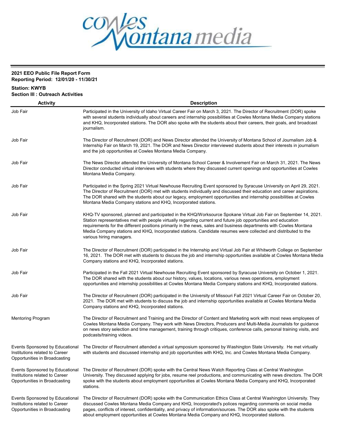

# 2021 EEO Public File Report Form

Reporting Period: 12/01/20 - 11/30/21

| <b>Station: KWYB</b><br><b>Section III : Outreach Activities</b>                                   |                                                                                                                                                                                                                                                                                                                                                                                                                                                                                                        |  |  |  |
|----------------------------------------------------------------------------------------------------|--------------------------------------------------------------------------------------------------------------------------------------------------------------------------------------------------------------------------------------------------------------------------------------------------------------------------------------------------------------------------------------------------------------------------------------------------------------------------------------------------------|--|--|--|
| <b>Activity</b>                                                                                    | <b>Description</b>                                                                                                                                                                                                                                                                                                                                                                                                                                                                                     |  |  |  |
| Job Fair                                                                                           | Participated in the University of Idaho Virtual Career Fair on March 3, 2021. The Director of Recruitment (DOR) spoke<br>with several students individually about careers and internship possibilities at Cowles Montana Media Company stations<br>and KHQ, Incorporated stations. The DOR also spoke with the students about their careers, their goals, and broadcast<br>journalism.                                                                                                                 |  |  |  |
| Job Fair                                                                                           | The Director of Recruitment (DOR) and News Director attended the University of Montana School of Journalism Job &<br>Internship Fair on March 19, 2021. The DOR and News Director interviewed students about their interests in journalism<br>and the job opportunities at Cowles Montana Media Company.                                                                                                                                                                                               |  |  |  |
| Job Fair                                                                                           | The News Director attended the University of Montana School Career & Involvement Fair on March 31, 2021. The News<br>Director conducted virtual interviews with students where they discussed current openings and opportunities at Cowles<br>Montana Media Company.                                                                                                                                                                                                                                   |  |  |  |
| Job Fair                                                                                           | Participated in the Spring 2021 Virtual Newhouse Recruiting Event sponsored by Syracuse University on April 29, 2021.<br>The Director of Recruitment (DOR) met with students individually and discussed their education and career aspirations.<br>The DOR shared with the students about our legacy, employment opportunities and internship possibilities at Cowles<br>Montana Media Company stations and KHQ, Incorporated stations.                                                                |  |  |  |
| Job Fair                                                                                           | KHQ-TV sponsored, planned and participated in the KHQ/Worksource Spokane Virtual Job Fair on September 14, 2021.<br>Station representatives met with people virtually regarding current and future job opportunities and education<br>requirements for the different positions primarily in the news, sales and business departments with Cowles Montana<br>Media Company stations and KHQ, Incorporated stations. Candidate resumes were collected and distributed to the<br>various hiring managers. |  |  |  |
| Job Fair                                                                                           | The Director of Recruitment (DOR) participated in the Internship and Virtual Job Fair at Whitworth College on September<br>16, 2021. The DOR met with students to discuss the job and internship opportunities available at Cowles Montana Media<br>Company stations and KHQ, Incorporated stations.                                                                                                                                                                                                   |  |  |  |
| Job Fair                                                                                           | Participated in the Fall 2021 Virtual Newhouse Recruiting Event sponsored by Syracuse University on October 1, 2021.<br>The DOR shared with the students about our history, values, locations, various news operations, employment<br>opportunities and internship possibilities at Cowles Montana Media Company stations and KHQ, Incorporated stations.                                                                                                                                              |  |  |  |
| Job Fair                                                                                           | The Director of Recruitment (DOR) participated in the University of Missouri Fall 2021 Virtual Career Fair on October 20,<br>2021. The DOR met with students to discuss the job and internship opportunities available at Cowles Montana Media<br>Company stations and KHQ, Incorporated stations.                                                                                                                                                                                                     |  |  |  |
| <b>Mentoring Program</b>                                                                           | The Director of Recruitment and Training and the Director of Content and Marketing work with most news employees of<br>Cowles Montana Media Company. They work with News Directors, Producers and Multi-Media Journalists for quidance<br>on news story selection and time management, training through critiques, conference calls, personal training visits, and<br>podcasts/training videos.                                                                                                        |  |  |  |
| Events Sponsored by Educational<br>Institutions related to Career<br>Opportunities in Broadcasting | The Director of Recruitment attended a virtual symposium sponsored by Washington State University. He met virtually<br>with students and discussed internship and job opportunities with KHQ, Inc. and Cowles Montana Media Company.                                                                                                                                                                                                                                                                   |  |  |  |
| Events Sponsored by Educational<br>Institutions related to Career<br>Opportunities in Broadcasting | The Director of Recruitment (DOR) spoke with the Central News Watch Reporting Class at Central Washington<br>University. They discussed applying for jobs, resume reel productions, and communicating with news directors. The DOR<br>spoke with the students about employment opportunities at Cowles Montana Media Company and KHQ, Incorporated<br>stations.                                                                                                                                        |  |  |  |
| Events Sponsored by Educational<br>Institutions related to Career<br>Opportunities in Broadcasting | The Director of Recruitment (DOR) spoke with the Communication Ethics Class at Central Washington University. They<br>discussed Cowles Montana Media Company and KHQ, Incorporated's polices regarding comments on social media<br>pages, conflicts of interest, confidentiality, and privacy of information/sources. The DOR also spoke with the students<br>about employment opportunities at Cowles Montana Media Company and KHQ, Incorporated stations.                                           |  |  |  |